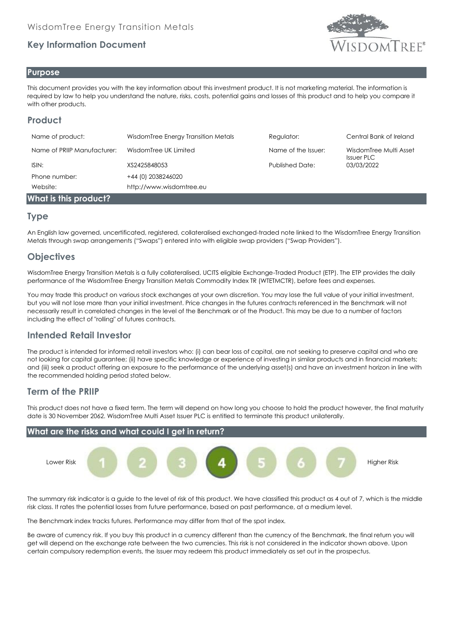# **Key Information Document**



#### **Purpose**

This document provides you with the key information about this investment product. It is not marketing material. The information is required by law to help you understand the nature, risks, costs, potential gains and losses of this product and to help you compare it with other products.

# **Product**

| Name of product:            | WisdomTree Energy Transition Metals | Regulator:             | Central Bank of Ireland                     |
|-----------------------------|-------------------------------------|------------------------|---------------------------------------------|
| Name of PRIIP Manufacturer: | WisdomTree UK Limited               | Name of the Issuer:    | WisdomTree Multi Asset<br><b>Issuer PLC</b> |
| ISIN:                       | XS2425848053                        | <b>Published Date:</b> | 03/03/2022                                  |
| Phone number:               | +44 (0) 2038246020                  |                        |                                             |
| Website:                    | http://www.wisdomtree.eu            |                        |                                             |
| What is this product?       |                                     |                        |                                             |

## **Type**

An English law governed, uncertificated, registered, collateralised exchanged-traded note linked to the WisdomTree Energy Transition Metals through swap arrangements ("Swaps") entered into with eligible swap providers ("Swap Providers").

# **Objectives**

WisdomTree Energy Transition Metals is a fully collateralised, UCITS eligible Exchange-Traded Product (ETP). The ETP provides the daily performance of the WisdomTree Energy Transition Metals Commodity Index TR (WTETMCTR), before fees and expenses.

You may trade this product on various stock exchanges at your own discretion. You may lose the full value of your initial investment, but you will not lose more than your initial investment. Price changes in the futures contracts referenced in the Benchmark will not necessarily result in correlated changes in the level of the Benchmark or of the Product. This may be due to a number of factors including the effect of "rolling" of futures contracts.

## **Intended Retail Investor**

The product is intended for informed retail investors who: (i) can bear loss of capital, are not seeking to preserve capital and who are not looking for capital guarantee; (ii) have specific knowledge or experience of investing in similar products and in financial markets; and (iii) seek a product offering an exposure to the performance of the underlying asset(s) and have an investment horizon in line with the recommended holding period stated below.

## **Term of the PRIIP**

This product does not have a fixed term. The term will depend on how long you choose to hold the product however, the final maturity date is 30 November 2062. WisdomTree Multi Asset Issuer PLC is entitled to terminate this product unilaterally.



The summary risk indicator is a guide to the level of risk of this product. We have classified this product as 4 out of 7, which is the middle risk class. It rates the potential losses from future performance, based on past performance, at a medium level.

The Benchmark index tracks futures. Performance may differ from that of the spot index.

Be aware of currency risk. If you buy this product in a currency different than the currency of the Benchmark, the final return you will get will depend on the exchange rate between the two currencies. This risk is not considered in the indicator shown above. Upon certain compulsory redemption events, the Issuer may redeem this product immediately as set out in the prospectus.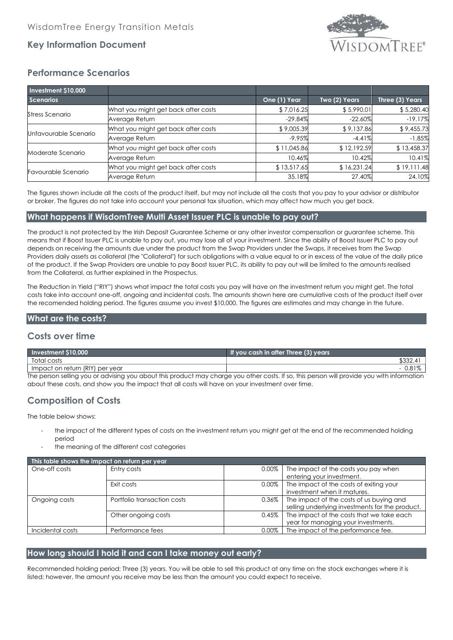

## **Key Information Document**

# **Performance Scenarios**

| <b>Investment \$10,000</b> |                                     |              |               |                 |
|----------------------------|-------------------------------------|--------------|---------------|-----------------|
| <b>Scenarios</b>           |                                     | One (1) Year | Two (2) Years | Three (3) Years |
| Stress Scenario            | What you might get back after costs | \$7,016.25   | \$5,990.01    | \$5,280.40      |
|                            | Average Return                      | $-29.84%$    | $-22.60%$     | $-19.17%$       |
| Unfavourable Scenario      | What you might get back after costs | \$9,005.39   | \$9,137.86    | \$9,455.73      |
|                            | Average Return                      | $-9.95%$     | $-4.41%$      | $-1.85%$        |
| Moderate Scenario          | What you might get back after costs | \$11,045.86  | \$12,192.59   | \$13,458.37     |
|                            | Average Return                      | 10.46%       | 10.42%        | 10.41%          |
| Favourable Scenario        | What you might get back after costs | \$13,517.65  | \$16,231.24   | \$19,111.48     |
|                            | Average Return                      | 35.18%       | 27.40%        | 24.10%          |

The figures shown include all the costs of the product itself, but may not include all the costs that you pay to your advisor or distributor or broker. The figures do not take into account your personal tax situation, which may affect how much you get back.

## **What happens if WisdomTree Multi Asset Issuer PLC is unable to pay out?**

The product is not protected by the Irish Deposit Guarantee Scheme or any other investor compensation or guarantee scheme. This means that if Boost Issuer PLC is unable to pay out, you may lose all of your investment. Since the ability of Boost Issuer PLC to pay out depends on receiving the amounts due under the product from the Swap Providers under the Swaps, it receives from the Swap Providers daily assets as collateral (the "Collateral") for such obligations with a value equal to or in excess of the value of the daily price of the product. If the Swap Providers are unable to pay Boost Issuer PLC, its ability to pay out will be limited to the amounts realised from the Collateral, as further explained in the Prospectus.

The Reduction in Yield ("RIY") shows what impact the total costs you pay will have on the investment return you might get. The total costs take into account one-off, ongoing and incidental costs. The amounts shown here are cumulative costs of the product itself over the recomended holding period. The figures assume you invest \$10,000. The figures are estimates and may change in the future.

#### **What are the costs?**

## **Costs over time**

| <b>Investment \$10,000</b>                                                                                                                 | If you cash in after Three (3) years |  |
|--------------------------------------------------------------------------------------------------------------------------------------------|--------------------------------------|--|
| Total costs                                                                                                                                | \$332.41                             |  |
| I Impact on return (RIY) per year                                                                                                          | $-0.81\%$                            |  |
| The person selling you or advising you about this product may charge you other costs. If so, this person will provide you with information |                                      |  |

The person selling you or advising you about this product may charge you other costs. If so, this person will provide you with information about these costs, and show you the impact that all costs will have on your investment over time.

# **Composition of Costs**

The table below shows:

- the impact of the different types of costs on the investment return you might get at the end of the recommended holding period
- the meaning of the different cost categories

| This table shows the impact on return per year |                             |          |                                                 |  |  |
|------------------------------------------------|-----------------------------|----------|-------------------------------------------------|--|--|
| One-off costs                                  | Entry costs                 | $0.00\%$ | The impact of the costs you pay when            |  |  |
|                                                |                             |          | entering your investment.                       |  |  |
|                                                | Exit costs                  | $0.00\%$ | The impact of the costs of exiting your         |  |  |
|                                                |                             |          | investment when it matures.                     |  |  |
| Ongoing costs                                  | Portfolio transaction costs | $0.36\%$ | The impact of the costs of us buying and        |  |  |
|                                                |                             |          | selling underlying investments for the product. |  |  |
|                                                | Other ongoing costs         | 0.45%    | The impact of the costs that we take each       |  |  |
|                                                |                             |          | year for managing your investments.             |  |  |
| Incidental costs                               | Performance fees            | $0.00\%$ | The impact of the performance fee.              |  |  |

#### **How long should I hold it and can I take money out early?**

Recommended holding period: Three (3) years. You will be able to sell this product at any time on the stock exchanges where it is listed; however, the amount you receive may be less than the amount you could expect to receive.